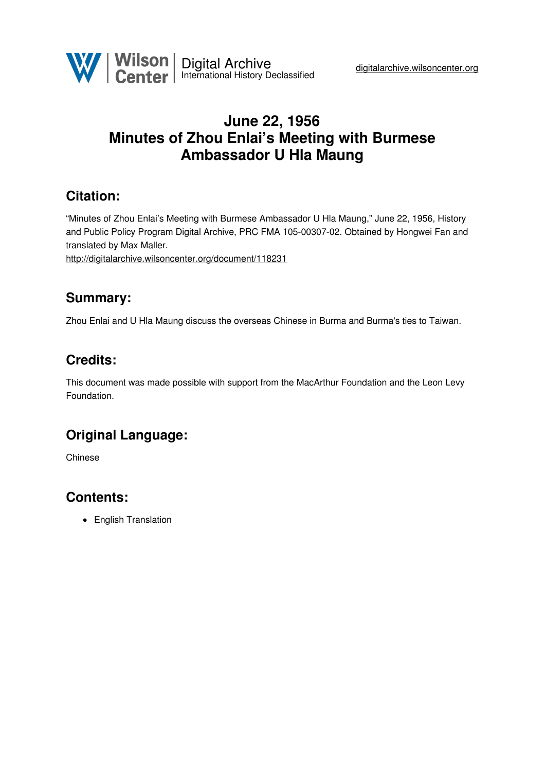

### **June 22, 1956 Minutes of Zhou Enlai's Meeting with Burmese Ambassador U Hla Maung**

### **Citation:**

"Minutes of Zhou Enlai's Meeting with Burmese Ambassador U Hla Maung," June 22, 1956, History and Public Policy Program Digital Archive, PRC FMA 105-00307-02. Obtained by Hongwei Fan and translated by Max Maller.

<http://digitalarchive.wilsoncenter.org/document/118231>

#### **Summary:**

Zhou Enlai and U Hla Maung discuss the overseas Chinese in Burma and Burma's ties to Taiwan.

#### **Credits:**

This document was made possible with support from the MacArthur Foundation and the Leon Levy Foundation.

# **Original Language:**

Chinese

# **Contents:**

• English Translation